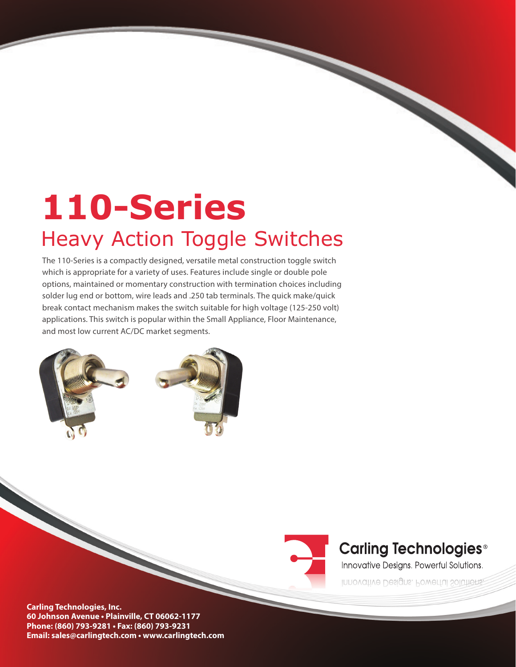# **110-Series**  Heavy Action Toggle Switches

The 110-Series is a compactly designed, versatile metal construction toggle switch which is appropriate for a variety of uses. Features include single or double pole options, maintained or momentary construction with termination choices including solder lug end or bottom, wire leads and .250 tab terminals. The quick make/quick break contact mechanism makes the switch suitable for high voltage (125-250 volt) applications. This switch is popular within the Small Appliance, Floor Maintenance, and most low current AC/DC market segments.





# **Carling Technologies<sup>®</sup>**

Innovative Designs. Powerful Solutions.

Innovative Designs. Powerful Solutions.

**Carling Technologies, Inc. 60 Johnson Avenue • Plainville, CT 06062-1177 Phone: (860) 793-9281 • Fax: (860) 793-9231 Email: sales@carlingtech.com • www.carlingtech.com**